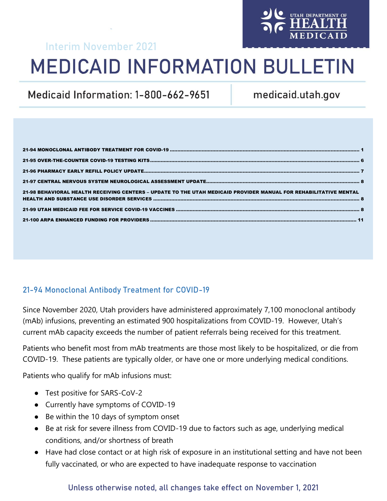## Interim November 2021

# **MEDICAID INFORMATION BULLETIN**

Medicaid Information: 1-800-662-9651

medicaid.utah.gov

| 21-98 BEHAVIORAL HEALTH RECEIVING CENTERS - UPDATE TO THE UTAH MEDICAID PROVIDER MANUAL FOR REHABILITATIVE MENTAL |  |
|-------------------------------------------------------------------------------------------------------------------|--|
|                                                                                                                   |  |
|                                                                                                                   |  |

## <span id="page-0-0"></span>21-94 Monoclonal Antibody Treatment for COVID-19

Since November 2020, Utah providers have administered approximately 7,100 monoclonal antibody (mAb) infusions, preventing an estimated 900 hospitalizations from COVID-19. However, Utah's current mAb capacity exceeds the number of patient referrals being received for this treatment.

Patients who benefit most from mAb treatments are those most likely to be hospitalized, or die from COVID-19. These patients are typically older, or have one or more underlying medical conditions.

Patients who qualify for mAb infusions must:

- Test positive for SARS-CoV-2
- Currently have symptoms of COVID-19
- Be within the 10 days of symptom onset
- Be at risk for severe illness from COVID-19 due to factors such as age, underlying medical conditions, and/or shortness of breath
- Have had close contact or at high risk of exposure in an institutional setting and have not been fully vaccinated, or who are expected to have inadequate response to vaccination

## Unless otherwise noted, all changes take effect on November 1, 2021

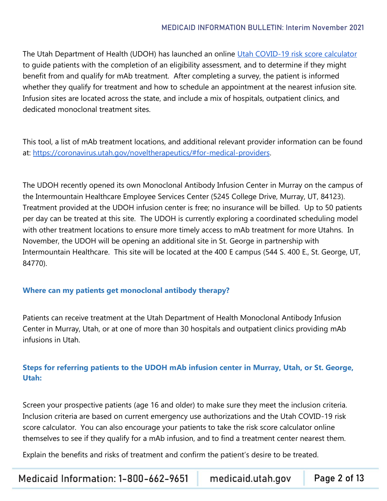The Utah Department of Health (UDOH) has launched an online [Utah COVID-19 risk score calculator](https://c19.health.utah.gov/surveys/?s=8TY9CN9Y4L) to guide patients with the completion of an eligibility assessment, and to determine if they might benefit from and qualify for mAb treatment. After completing a survey, the patient is informed whether they qualify for treatment and how to schedule an appointment at the nearest infusion site. Infusion sites are located across the state, and include a mix of hospitals, outpatient clinics, and dedicated monoclonal treatment sites.

This tool, a list of mAb treatment locations, and additional relevant provider information can be found at: [https://coronavirus.utah.gov/noveltherapeutics/#for-medical-providers.](https://coronavirus.utah.gov/noveltherapeutics/#for-medical-providers)

The UDOH recently opened its own Monoclonal Antibody Infusion Center in Murray on the campus of the Intermountain Healthcare Employee Services Center (5245 College Drive, Murray, UT, 84123). Treatment provided at the UDOH infusion center is free; no insurance will be billed. Up to 50 patients per day can be treated at this site. The UDOH is currently exploring a coordinated scheduling model with other treatment locations to ensure more timely access to mAb treatment for more Utahns. In November, the UDOH will be opening an additional site in St. George in partnership with Intermountain Healthcare. This site will be located at the 400 E campus (544 S. 400 E., St. George, UT, 84770).

#### **Where can my patients get monoclonal antibody therapy?**

Patients can receive treatment at the Utah Department of Health Monoclonal Antibody Infusion Center in Murray, Utah, or at one of more than 30 hospitals and outpatient clinics providing mAb infusions in Utah.

## **Steps for referring patients to the UDOH mAb infusion center in Murray, Utah, or St. George, Utah:**

Screen your prospective patients (age 16 and older) to make sure they meet the inclusion criteria. Inclusion criteria are based on current emergency use authorizations and the Utah COVID-19 risk score calculator. You can also encourage your patients to take the risk score calculator online themselves to see if they qualify for a mAb infusion, and to find a treatment center nearest them.

Explain the benefits and risks of treatment and confirm the patient's desire to be treated.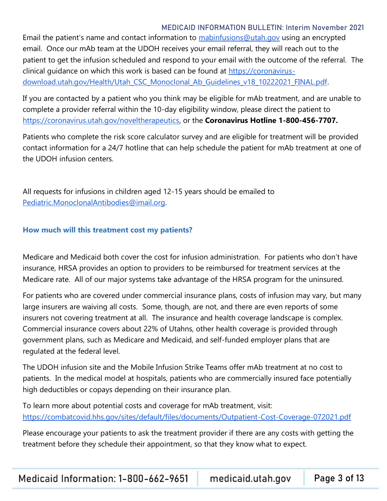Email the patient's name and contact information to [mabinfusions@utah.gov](mailto:mabinfusions@utah.gov) using an encrypted email. Once our mAb team at the UDOH receives your email referral, they will reach out to the patient to get the infusion scheduled and respond to your email with the outcome of the referral. The clinical guidance on which this work is based can be found at [https://coronavirus](https://coronavirus-download.utah.gov/Health/Utah_CSC_Monoclonal_Ab_Guidelines_v18_10222021_FINAL.pdf)[download.utah.gov/Health/Utah\\_CSC\\_Monoclonal\\_Ab\\_Guidelines\\_v18\\_10222021\\_FINAL.pdf.](https://coronavirus-download.utah.gov/Health/Utah_CSC_Monoclonal_Ab_Guidelines_v18_10222021_FINAL.pdf)

If you are contacted by a patient who you think may be eligible for mAb treatment, and are unable to complete a provider referral within the 10-day eligibility window, please direct the patient to [https://coronavirus.utah.gov/noveltherapeutics,](https://coronavirus.utah.gov/noveltherapeutics) or the **Coronavirus Hotline 1-800-456-7707.**

Patients who complete the risk score calculator survey and are eligible for treatment will be provided contact information for a 24/7 hotline that can help schedule the patient for mAb treatment at one of the UDOH infusion centers.

All requests for infusions in children aged 12-15 years should be emailed to [Pediatric.MonoclonalAntibodies@imail.org.](mailto:Pediatric.MonoclonalAntibodies@imail.org)

#### **How much will this treatment cost my patients?**

Medicare and Medicaid both cover the cost for infusion administration. For patients who don't have insurance, HRSA provides an option to providers to be reimbursed for treatment services at the Medicare rate. All of our major systems take advantage of the HRSA program for the uninsured.

For patients who are covered under commercial insurance plans, costs of infusion may vary, but many large insurers are waiving all costs. Some, though, are not, and there are even reports of some insurers not covering treatment at all. The insurance and health coverage landscape is complex. Commercial insurance covers about 22% of Utahns, other health coverage is provided through government plans, such as Medicare and Medicaid, and self-funded employer plans that are regulated at the federal level.

The UDOH infusion site and the Mobile Infusion Strike Teams offer mAb treatment at no cost to patients. In the medical model at hospitals, patients who are commercially insured face potentially high deductibles or copays depending on their insurance plan.

To learn more about potential costs and coverage for mAb treatment, visit: <https://combatcovid.hhs.gov/sites/default/files/documents/Outpatient-Cost-Coverage-072021.pdf>

Please encourage your patients to ask the treatment provider if there are any costs with getting the treatment before they schedule their appointment, so that they know what to expect.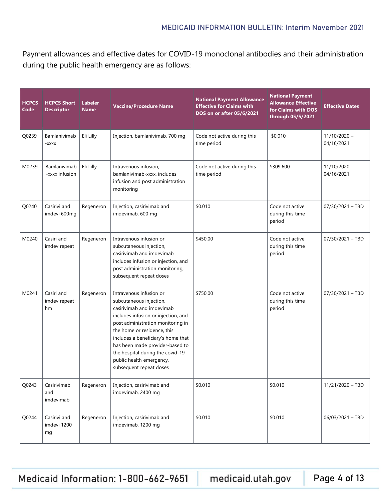Payment allowances and effective dates for COVID-19 monoclonal antibodies and their administration during the public health emergency are as follows:

| <b>HCPCS</b><br>Code | <b>HCPCS Short</b><br><b>Descriptor</b> | <b>Labeler</b><br><b>Name</b>                                                                                                                                                                                                                                                                                                                                               | <b>National Payment Allowance</b><br><b>Effective for Claims with</b><br><b>Vaccine/Procedure Name</b><br>DOS on or after 05/6/2021                                                  |                                                           | <b>National Payment</b><br><b>Allowance Effective</b><br>for Claims with DOS<br>through 05/5/2021 | <b>Effective Dates</b>       |
|----------------------|-----------------------------------------|-----------------------------------------------------------------------------------------------------------------------------------------------------------------------------------------------------------------------------------------------------------------------------------------------------------------------------------------------------------------------------|--------------------------------------------------------------------------------------------------------------------------------------------------------------------------------------|-----------------------------------------------------------|---------------------------------------------------------------------------------------------------|------------------------------|
| Q0239                | Bamlanivimab<br>-XXXX                   | Eli Lilly                                                                                                                                                                                                                                                                                                                                                                   | Injection, bamlanivimab, 700 mg                                                                                                                                                      | \$0.010<br>Code not active during this<br>time period     |                                                                                                   | $11/10/2020 -$<br>04/16/2021 |
| M0239                | Bamlanivimab<br>-xxxx infusion          | Eli Lilly                                                                                                                                                                                                                                                                                                                                                                   | Intravenous infusion,<br>Code not active during this<br>bamlanivimab-xxxx, includes<br>time period<br>infusion and post administration<br>monitoring                                 |                                                           | \$309.600                                                                                         | $11/10/2020 -$<br>04/16/2021 |
| Q0240                | Casirivi and<br>imdevi 600mg            | Regeneron                                                                                                                                                                                                                                                                                                                                                                   | Injection, casirivimab and<br>imdevimab, 600 mg                                                                                                                                      | \$0.010<br>Code not active<br>during this time<br>period  |                                                                                                   | 07/30/2021 - TBD             |
| M0240                | Casiri and<br>imdev repeat              | Regeneron                                                                                                                                                                                                                                                                                                                                                                   | Intravenous infusion or<br>subcutaneous injection,<br>casirivimab and imdevimab<br>includes infusion or injection, and<br>post administration monitoring,<br>subsequent repeat doses | \$450.00<br>Code not active<br>during this time<br>period |                                                                                                   | $07/30/2021 - TBD$           |
| M0241                | Casiri and<br>imdev repeat<br>hm        | Intravenous infusion or<br>Regeneron<br>subcutaneous injection,<br>casirivimab and imdevimab<br>includes infusion or injection, and<br>post administration monitoring in<br>the home or residence, this<br>includes a beneficiary's home that<br>has been made provider-based to<br>the hospital during the covid-19<br>public health emergency,<br>subsequent repeat doses |                                                                                                                                                                                      | \$750.00                                                  | Code not active<br>during this time<br>period                                                     | 07/30/2021 - TBD             |
| Q0243                | Casirivimab<br>and<br>imdevimab         | Regeneron                                                                                                                                                                                                                                                                                                                                                                   | Injection, casirivimab and<br>imdevimab, 2400 mg                                                                                                                                     | \$0.010                                                   | \$0.010                                                                                           | 11/21/2020 - TBD             |
| Q0244                | Casirivi and<br>imdevi 1200<br>mg       | Regeneron                                                                                                                                                                                                                                                                                                                                                                   | Injection, casirivimab and<br>imdevimab, 1200 mg                                                                                                                                     | \$0.010                                                   | \$0.010                                                                                           | 06/03/2021 - TBD             |

Medicaid Information: 1-800-662-9651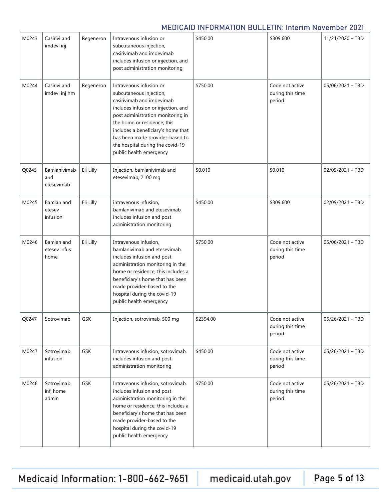| M0243 | Casirivi and<br>imdevi inj                                                                                                                                                                                                                                                                                                                                                       | Regeneron  | Intravenous infusion or<br>subcutaneous injection,<br>casirivimab and imdevimab<br>includes infusion or injection, and<br>post administration monitoring                                                                                                               | \$450.00                                      | \$309.600                                     | 11/21/2020 - TBD   |
|-------|----------------------------------------------------------------------------------------------------------------------------------------------------------------------------------------------------------------------------------------------------------------------------------------------------------------------------------------------------------------------------------|------------|------------------------------------------------------------------------------------------------------------------------------------------------------------------------------------------------------------------------------------------------------------------------|-----------------------------------------------|-----------------------------------------------|--------------------|
| M0244 | Casirivi and<br>Intravenous infusion or<br>Regeneron<br>imdevi inj hm<br>subcutaneous injection,<br>casirivimab and imdevimab<br>includes infusion or injection, and<br>post administration monitoring in<br>the home or residence; this<br>includes a beneficiary's home that<br>has been made provider-based to<br>the hospital during the covid-19<br>public health emergency |            | \$750.00                                                                                                                                                                                                                                                               | Code not active<br>during this time<br>period | 05/06/2021 - TBD                              |                    |
| Q0245 | Bamlanivimab<br>and<br>etesevimab                                                                                                                                                                                                                                                                                                                                                | Eli Lilly  | Injection, bamlanivimab and<br>etesevimab, 2100 mg                                                                                                                                                                                                                     | \$0.010                                       | \$0.010                                       | 02/09/2021 - TBD   |
| M0245 | Bamlan and<br>etesev<br>infusion                                                                                                                                                                                                                                                                                                                                                 | Eli Lilly  | intravenous infusion,<br>bamlanivimab and etesevimab,<br>includes infusion and post<br>administration monitoring                                                                                                                                                       | \$450.00                                      | \$309.600                                     | $02/09/2021 - TBD$ |
| M0246 | Bamlan and<br>Eli Lilly<br>Intravenous infusion,<br>etesev infus<br>bamlanivimab and etesevimab,<br>includes infusion and post<br>home<br>administration monitoring in the<br>home or residence; this includes a<br>beneficiary's home that has been<br>made provider-based to the<br>hospital during the covid-19<br>public health emergency                                    |            | \$750.00                                                                                                                                                                                                                                                               | Code not active<br>during this time<br>period | $05/06/2021 - TBD$                            |                    |
| Q0247 | Sotrovimab                                                                                                                                                                                                                                                                                                                                                                       | GSK        | Injection, sotrovimab, 500 mg                                                                                                                                                                                                                                          | \$2394.00                                     | Code not active<br>during this time<br>period | $05/26/2021 - TBD$ |
| M0247 | Sotrovimab<br>infusion                                                                                                                                                                                                                                                                                                                                                           | GSK        | Intravenous infusion, sotrovimab,<br>includes infusion and post<br>administration monitoring                                                                                                                                                                           | \$450.00                                      | Code not active<br>during this time<br>period | 05/26/2021 - TBD   |
| M0248 | Sotrovimab<br>inf, home<br>admin                                                                                                                                                                                                                                                                                                                                                 | <b>GSK</b> | Intravenous infusion, sotrovimab,<br>includes infusion and post<br>administration monitoring in the<br>home or residence; this includes a<br>beneficiary's home that has been<br>made provider-based to the<br>hospital during the covid-19<br>public health emergency | \$750.00                                      | Code not active<br>during this time<br>period | 05/26/2021 - TBD   |

Medicaid Information: 1-800-662-9651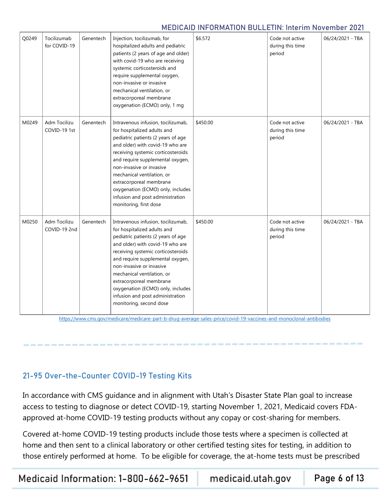| Q0249                                                                                                                                                                                                                                                                                                                                                                                                                                                               | Tocilizumab<br>for COVID-19  | Genentech | Injection, tocilizumab, for<br>hospitalized adults and pediatric<br>patients (2 years of age and older)<br>with covid-19 who are receiving<br>systemic corticosteroids and<br>require supplemental oxygen,<br>non-invasive or invasive<br>mechanical ventilation, or<br>extracorporeal membrane<br>oxygenation (ECMO) only, 1 mg                                                                               | \$6.572          | Code not active<br>during this time<br>period | 06/24/2021 - TBA |
|---------------------------------------------------------------------------------------------------------------------------------------------------------------------------------------------------------------------------------------------------------------------------------------------------------------------------------------------------------------------------------------------------------------------------------------------------------------------|------------------------------|-----------|----------------------------------------------------------------------------------------------------------------------------------------------------------------------------------------------------------------------------------------------------------------------------------------------------------------------------------------------------------------------------------------------------------------|------------------|-----------------------------------------------|------------------|
| M0249<br>Adm Tocilizu<br>Intravenous infusion, tocilizumab,<br>Genentech<br>COVID-19 1st<br>for hospitalized adults and<br>pediatric patients (2 years of age<br>and older) with covid-19 who are<br>receiving systemic corticosteroids<br>and require supplemental oxygen,<br>non-invasive or invasive<br>mechanical ventilation, or<br>extracorporeal membrane<br>oxygenation (ECMO) only, includes<br>infusion and post administration<br>monitoring, first dose |                              | \$450.00  | Code not active<br>during this time<br>period                                                                                                                                                                                                                                                                                                                                                                  | 06/24/2021 - TBA |                                               |                  |
| M0250                                                                                                                                                                                                                                                                                                                                                                                                                                                               | Adm Tocilizu<br>COVID-19 2nd | Genentech | Intravenous infusion, tocilizumab,<br>for hospitalized adults and<br>pediatric patients (2 years of age<br>and older) with covid-19 who are<br>receiving systemic corticosteroids<br>and require supplemental oxygen,<br>non-invasive or invasive<br>mechanical ventilation, or<br>extracorporeal membrane<br>oxygenation (ECMO) only, includes<br>infusion and post administration<br>monitoring, second dose | \$450.00         | Code not active<br>during this time<br>period | 06/24/2021 - TBA |

<https://www.cms.gov/medicare/medicare-part-b-drug-average-sales-price/covid-19-vaccines-and-monoclonal-antibodies>

## <span id="page-5-0"></span>21-95 Over-the-Counter COVID-19 Testing Kits

In accordance with CMS guidance and in alignment with Utah's Disaster State Plan goal to increase access to testing to diagnose or detect COVID-19, starting November 1, 2021, Medicaid covers FDAapproved at-home COVID-19 testing products without any copay or cost-sharing for members.

Covered at-home COVID-19 testing products include those tests where a specimen is collected at home and then sent to a clinical laboratory or other certified testing sites for testing, in addition to those entirely performed at home. To be eligible for coverage, the at-home tests must be prescribed

Medicaid Information: 1-800-662-9651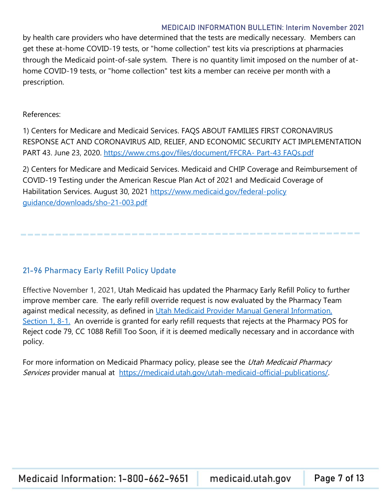by health care providers who have determined that the tests are medically necessary. Members can get these at-home COVID-19 tests, or "home collection" test kits via prescriptions at pharmacies through the Medicaid point-of-sale system. There is no quantity limit imposed on the number of athome COVID-19 tests, or "home collection" test kits a member can receive per month with a prescription.

#### References:

1) Centers for Medicare and Medicaid Services. FAQS ABOUT FAMILIES FIRST CORONAVIRUS RESPONSE ACT AND CORONAVIRUS AID, RELIEF, AND ECONOMIC SECURITY ACT IMPLEMENTATION PART 43. June 23, 2020. [https://www.cms.gov/files/document/FFCRA-](https://www.cms.gov/files/document/FFCRA-%20Part-43%20FAQs.pdf) Part-43 FAQs.pdf

2) Centers for Medicare and Medicaid Services. Medicaid and CHIP Coverage and Reimbursement of COVID-19 Testing under the American Rescue Plan Act of 2021 and Medicaid Coverage of Habilitation Services. August 30, 2021 [https://www.medicaid.gov/federal-policy](https://www.medicaid.gov/federal-policy%20guidance/downloads/sho-21-003.pdf)  [guidance/downloads/sho-21-003.pdf](https://www.medicaid.gov/federal-policy%20guidance/downloads/sho-21-003.pdf)

#### <span id="page-6-0"></span>21-96 Pharmacy Early Refill Policy Update

Effective November 1, 2021, Utah Medicaid has updated the Pharmacy Early Refill Policy to further improve member care. The early refill override request is now evaluated by the Pharmacy Team against medical necessity, as defined in Utah Medicaid Provider Manual General Information, [Section 1, 8-1.](https://medicaid.utah.gov/utah-medicaid-official-publications/?p=Medicaid%20Provider%20Manuals/Pharmacy/) An override is granted for early refill requests that rejects at the Pharmacy POS for Reject code 79, CC 1088 Refill Too Soon, if it is deemed medically necessary and in accordance with policy.

For more information on Medicaid Pharmacy policy, please see the Utah Medicaid Pharmacy Services provider manual at [https://medicaid.utah.gov/utah-medicaid-official-publications/.](https://medicaid.utah.gov/utah-medicaid-official-publications/)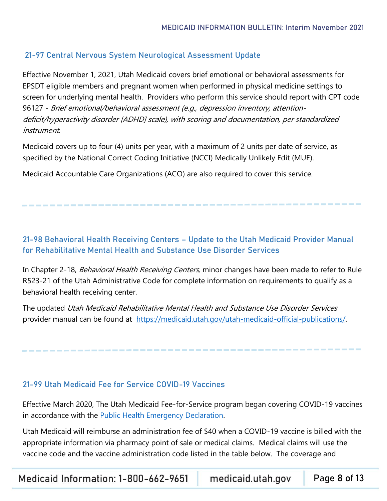## <span id="page-7-0"></span>21-97 Central Nervous System Neurological Assessment Update

Effective November 1, 2021, Utah Medicaid covers brief emotional or behavioral assessments for EPSDT eligible members and pregnant women when performed in physical medicine settings to screen for underlying mental health. Providers who perform this service should report with CPT code 96127 - Brief emotional/behavioral assessment (e.g., depression inventory, attentiondeficit/hyperactivity disorder [ADHD] scale), with scoring and documentation, per standardized instrument.

Medicaid covers up to four (4) units per year, with a maximum of 2 units per date of service, as specified by the National Correct Coding Initiative (NCCI) Medically Unlikely Edit (MUE).

Medicaid Accountable Care Organizations (ACO) are also required to cover this service.

## <span id="page-7-1"></span>21-98 Behavioral Health Receiving Centers – Update to the Utah Medicaid Provider Manual for Rehabilitative Mental Health and Substance Use Disorder Services

In Chapter 2-18, Behavioral Health Receiving Centers, minor changes have been made to refer to Rule R523-21 of the Utah Administrative Code for complete information on requirements to qualify as a behavioral health receiving center.

The updated Utah Medicaid Rehabilitative Mental Health and Substance Use Disorder Services provider manual can be found at [https://medicaid.utah.gov/utah-medicaid-official-publications/.](https://medicaid.utah.gov/utah-medicaid-official-publications/)

## <span id="page-7-2"></span>21-99 Utah Medicaid Fee for Service COVID-19 Vaccines

Effective March 2020, The Utah Medicaid Fee-for-Service program began covering COVID-19 vaccines in accordance with the [Public Health Emergency Declaration.](https://www.phe.gov/Preparedness/legal/Pages/phedeclaration.aspx)

Utah Medicaid will reimburse an administration fee of \$40 when a COVID-19 vaccine is billed with the appropriate information via pharmacy point of sale or medical claims. Medical claims will use the vaccine code and the vaccine administration code listed in the table below. The coverage and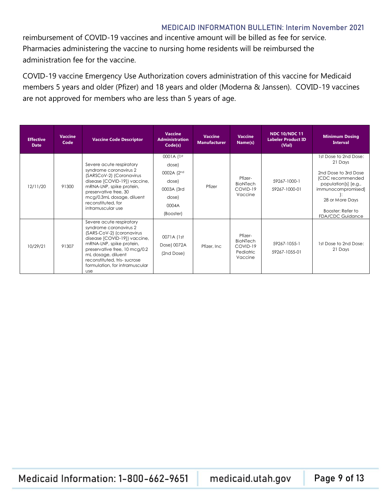reimbursement of COVID-19 vaccines and incentive amount will be billed as fee for service. Pharmacies administering the vaccine to nursing home residents will be reimbursed the administration fee for the vaccine.

COVID-19 vaccine Emergency Use Authorization covers administration of this vaccine for Medicaid members 5 years and older (Pfizer) and 18 years and older (Moderna & Janssen). COVID-19 vaccines are not approved for members who are less than 5 years of age.

| <b>Effective</b><br><b>Date</b> | <b>Vaccine</b><br>Code | <b>Vaccine Code Descriptor</b>                                                                                                                                                                                                                                                    | <b>Vaccine</b><br><b>Administration</b><br>Code(s)                                      | <b>Vaccine</b><br><b>Manufacturer</b> | <b>Vaccine</b><br>Name(s)                                      | <b>NDC 10/NDC 11</b><br><b>Labeler Product ID</b><br>(Vial) | <b>Minimum Dosing</b><br><b>Interval</b>                                                                                                                                                      |
|---------------------------------|------------------------|-----------------------------------------------------------------------------------------------------------------------------------------------------------------------------------------------------------------------------------------------------------------------------------|-----------------------------------------------------------------------------------------|---------------------------------------|----------------------------------------------------------------|-------------------------------------------------------------|-----------------------------------------------------------------------------------------------------------------------------------------------------------------------------------------------|
| 12/11/20                        | 91300                  | Severe acute respiratory<br>syndrome coronavirus 2<br>(SARSCoV-2) (Coronavirus<br>disease [COVID-19]) vaccine,<br>mRNA-LNP, spike protein,<br>preservative free, 30<br>mcg/0.3mL dosage, diluent<br>reconstituted, for<br>intramuscular use                                       | 0001A (1st<br>dose)<br>0002A (2nd<br>dose)<br>0003A (3rd<br>dose)<br>0004A<br>(Booster) | Pfizer                                | Pfizer-<br>BioNTech<br>COVID-19<br>Vaccine                     | 59267-1000-1<br>59267-1000-01                               | 1st Dose to 2nd Dose:<br>21 Days<br>2nd Dose to 3rd Dose<br>(CDC recommended<br>population[s] [e.g.,<br>immunocompromised]<br>28 or More Days<br>Booster: Refer to<br><b>FDA/CDC Guidance</b> |
| 10/29/21                        | 91307                  | Severe acute respiratory<br>syndrome coronavirus 2<br>(SARS-CoV-2) (coronavirus<br>disease [COVID-19]) vaccine,<br>mRNA-LNP, spike protein,<br>preservative free, 10 mcg/0.2<br>mL dosage, diluent<br>reconstituted, tris-sucrose<br>formulation, for intramuscular<br><b>use</b> | 0071A (1st<br>Dose) 0072A<br>(2nd Dose)                                                 | Pfizer, Inc.                          | Pfizer-<br><b>BioNTech</b><br>COVID-19<br>Pediatric<br>Vaccine | 59267-1055-1<br>59267-1055-01                               | 1st Dose to 2nd Dose:<br>21 Days                                                                                                                                                              |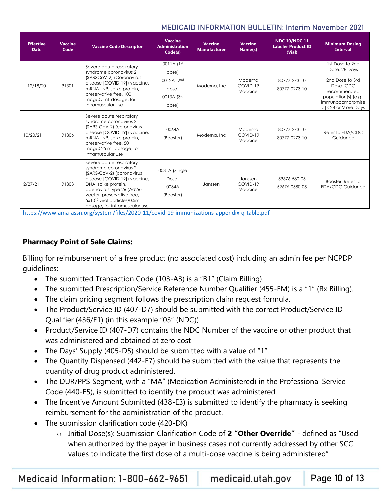| <b>Effective</b><br><b>Date</b>          | <b>Vaccine</b><br>Code | <b>Vaccine Code Descriptor</b>                                                                                                                                                                                                                                                                                                                                  | <b>Vaccine</b><br><b>Administration</b><br>Code(s)                | <b>Vaccine</b><br><b>Manufacturer</b> | <b>Vaccine</b><br>Name(s)                                        | <b>NDC 10/NDC 11</b><br><b>Labeler Product ID</b><br>(Vial) | <b>Minimum Dosing</b><br><b>Interval</b>                                                                                                            |
|------------------------------------------|------------------------|-----------------------------------------------------------------------------------------------------------------------------------------------------------------------------------------------------------------------------------------------------------------------------------------------------------------------------------------------------------------|-------------------------------------------------------------------|---------------------------------------|------------------------------------------------------------------|-------------------------------------------------------------|-----------------------------------------------------------------------------------------------------------------------------------------------------|
| 12/18/20                                 | 91301                  | Severe acute respiratory<br>syndrome coronavirus 2<br>(SARSCoV-2) (Coronavirus<br>disease [COVID-19]) vaccine,<br>mRNA-LNP, spike protein,<br>preservative free, 100<br>mcg/0.5mL dosage, for<br>intramuscular use                                                                                                                                              | 0011A (1st<br>dose)<br>0012A (2nd<br>dose)<br>0013A (3rd<br>dose) | Moderna, Inc.                         | Moderna<br>COVID-19<br>Vaccine                                   | 80777-273-10<br>80777-0273-10                               | 1st Dose to 2nd<br>Dose: 28 Days<br>2nd Dose to 3rd<br>Dose (CDC<br>recommended<br>population[s] [e.g.,<br>immunocompromise<br>d]): 28 or More Days |
| 10/20/21                                 | 91306                  | Severe acute respiratory<br>syndrome coronavirus 2<br>(SARS-CoV-2) (coronavirus<br>disease [COVID-19]) vaccine,<br>mRNA-LNP, spike protein,<br>preservative free, 50<br>mcg/0.25 mL dosage, for<br>intramuscular use                                                                                                                                            | 0064A<br>(Booster)                                                | Moderna, Inc.                         | Moderna<br>COVID-19<br>Vaccine                                   | 80777-273-10<br>80777-0273-10                               | Refer to FDA/CDC<br>Guidance                                                                                                                        |
| 2/27/21<br>$\mathbf{r}$ and $\mathbf{r}$ | 91303                  | Severe acute respiratory<br>syndrome coronavirus 2<br>(SARS-CoV-2) (coronavirus<br>disease [COVID-19]) vaccine,<br>DNA, spike protein,<br>adenovirus type 26 (Ad26)<br>vector, preservative free,<br>5x10 <sup>10</sup> viral particles/0.5mL<br>dosage, for intramuscular use<br>$\ell$ is $\ell$ the <i>increased in the compact</i> in the compact of $\ell$ | 0031A (Single<br>Dose)<br>0034A<br>(Booster)                      | Janssen                               | Janssen<br>COVID-19<br>Vaccine<br><b>The Secretary Contracts</b> | 59676-580-05<br>59676-0580-05                               | Booster: Refer to<br><b>FDA/CDC Guidance</b>                                                                                                        |

<https://www.ama-assn.org/system/files/2020-11/covid-19-immunizations-appendix-q-table.pdf>

## **Pharmacy Point of Sale Claims:**

Billing for reimbursement of a free product (no associated cost) including an admin fee per NCPDP guidelines:

- The submitted Transaction Code (103-A3) is a "B1" (Claim Billing).
- The submitted Prescription/Service Reference Number Qualifier (455-EM) is a "1" (Rx Billing).
- The claim pricing segment follows the prescription claim request formula.
- The Product/Service ID (407-D7) should be submitted with the correct Product/Service ID Qualifier (436/E1) (in this example "03" (NDC))
- Product/Service ID (407-D7) contains the NDC Number of the vaccine or other product that was administered and obtained at zero cost
- The Days' Supply (405-D5) should be submitted with a value of "1".
- The Quantity Dispensed (442-E7) should be submitted with the value that represents the quantity of drug product administered.
- The DUR/PPS Segment, with a "MA" (Medication Administered) in the Professional Service Code (440-E5), is submitted to identify the product was administered.
- The Incentive Amount Submitted (438-E3) is submitted to identify the pharmacy is seeking reimbursement for the administration of the product.
- The submission clarification code (420-DK)
	- o Initial Dose(s): Submission Clarification Code of **2 "Other Override"**  defined as "Used when authorized by the payer in business cases not currently addressed by other SCC values to indicate the first dose of a multi-dose vaccine is being administered"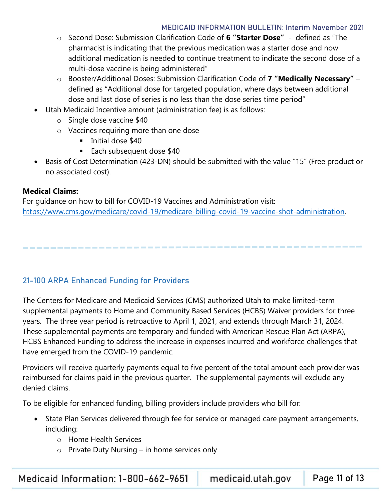- o Second Dose: Submission Clarification Code of **6 "Starter Dose"** defined as "The pharmacist is indicating that the previous medication was a starter dose and now additional medication is needed to continue treatment to indicate the second dose of a multi-dose vaccine is being administered"
- o Booster/Additional Doses: Submission Clarification Code of **7 "Medically Necessary"**  defined as "Additional dose for targeted population, where days between additional dose and last dose of series is no less than the dose series time period"
- Utah Medicaid Incentive amount (administration fee) is as follows:
	- o Single dose vaccine \$40
	- o Vaccines requiring more than one dose
		- **·** Initial dose \$40
		- Each subsequent dose \$40
- Basis of Cost Determination (423-DN) should be submitted with the value "15" (Free product or no associated cost).

#### **Medical Claims:**

For guidance on how to bill for COVID-19 Vaccines and Administration visit: [https://www.cms.gov/medicare/covid-19/medicare-billing-covid-19-vaccine-shot-administration.](https://www.cms.gov/medicare/covid-19/medicare-billing-covid-19-vaccine-shot-administration)

## <span id="page-10-0"></span>21-100 ARPA Enhanced Funding for Providers

The Centers for Medicare and Medicaid Services (CMS) authorized Utah to make limited-term supplemental payments to Home and Community Based Services (HCBS) Waiver providers for three years. The three year period is retroactive to April 1, 2021, and extends through March 31, 2024. These supplemental payments are temporary and funded with American Rescue Plan Act (ARPA), HCBS Enhanced Funding to address the increase in expenses incurred and workforce challenges that have emerged from the COVID-19 pandemic.

Providers will receive quarterly payments equal to five percent of the total amount each provider was reimbursed for claims paid in the previous quarter. The supplemental payments will exclude any denied claims.

To be eligible for enhanced funding, billing providers include providers who bill for:

- State Plan Services delivered through fee for service or managed care payment arrangements, including:
	- o Home Health Services
	- $\circ$  Private Duty Nursing in home services only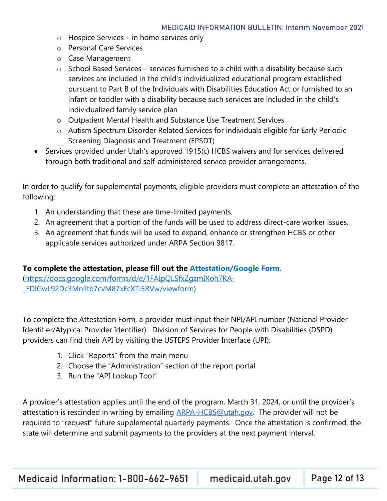- o Hospice Services in home services only
- o Personal Care Services
- o Case Management
- $\circ$  School Based Services services furnished to a child with a disability because such services are included in the child's individualized educational program established pursuant to Part B of the Individuals with Disabilities Education Act or furnished to an infant or toddler with a disability because such services are included in the child's individualized family service plan
- o Outpatient Mental Health and Substance Use Treatment Services
- o Autism Spectrum Disorder Related Services for individuals eligible for Early Periodic Screening Diagnosis and Treatment (EPSDT)
- Services provided under Utah's approved 1915(c) HCBS waivers and for services delivered through both traditional and self-administered service provider arrangements.

In order to qualify for supplemental payments, eligible providers must complete an attestation of the following:

- 1. An understanding that these are time-limited payments.
- 2. An agreement that a portion of the funds will be used to address direct-care worker issues.
- 3. An agreement that funds will be used to expand, enhance or strengthen HCBS or other applicable services authorized under ARPA Section 9817.

#### **To complete the attestation, please fill out the [Attestation/Google Form.](https://docs.google.com/forms/d/e/1FAIpQLSfxZgzmIXoh7RA-_FDlGwL92Dc3Mnlltb7cvM87xFcXTi5RVw/viewform)**

[\(https://docs.google.com/forms/d/e/1FAIpQLSfxZgzmIXoh7RA-](https://docs.google.com/forms/d/e/1FAIpQLSfxZgzmIXoh7RA-_FDlGwL92Dc3Mnlltb7cvM87xFcXTi5RVw/viewform) [\\_FDlGwL92Dc3Mnlltb7cvM87xFcXTi5RVw/viewform\)](https://docs.google.com/forms/d/e/1FAIpQLSfxZgzmIXoh7RA-_FDlGwL92Dc3Mnlltb7cvM87xFcXTi5RVw/viewform)

To complete the Attestation Form, a provider must input their NPI/API number (National Provider Identifier/Atypical Provider Identifier). Division of Services for People with Disabilities (DSPD) providers can find their API by visiting the USTEPS Provider Interface (UPI):

- 1. Click "Reports" from the main menu
- 2. Choose the "Administration" section of the report portal
- 3. Run the "API Lookup Tool"

A provider's attestation applies until the end of the program, March 31, 2024, or until the provider's attestation is rescinded in writing by emailing **ARPA-HCBS@utah.gov.** The provider will not be required to "request" future supplemental quarterly payments. Once the attestation is confirmed, the state will determine and submit payments to the providers at the next payment interval.